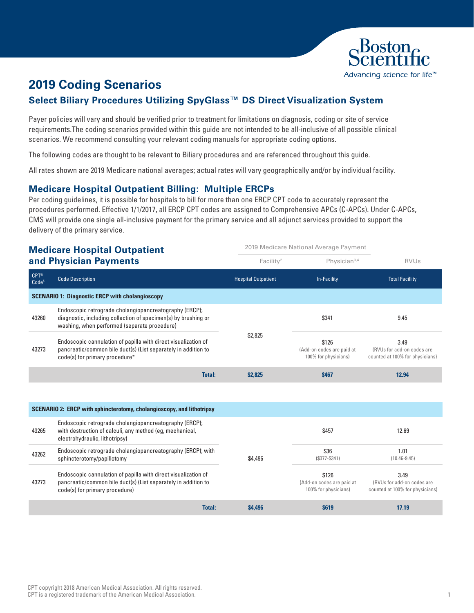

# **2019 Coding Scenarios**

## **Select Biliary Procedures Utilizing SpyGlass™ DS Direct Visualization System**

Payer policies will vary and should be verified prior to treatment for limitations on diagnosis, coding or site of service requirements.The coding scenarios provided within this guide are not intended to be all-inclusive of all possible clinical scenarios. We recommend consulting your relevant coding manuals for appropriate coding options.

The following codes are thought to be relevant to Biliary procedures and are referenced throughout this guide.

All rates shown are 2019 Medicare national averages; actual rates will vary geographically and/or by individual facility.

#### **Medicare Hospital Outpatient Billing: Multiple ERCPs**

Per coding guidelines, it is possible for hospitals to bill for more than one ERCP CPT code to accurately represent the procedures performed. Effective 1/1/2017, all ERCP CPT codes are assigned to Comprehensive APCs (C-APCs). Under C-APCs, CMS will provide one single all-inclusive payment for the primary service and all adjunct services provided to support the delivery of the primary service.

#### **Medicare Hospital Outpatient and Physician Payments**

|                                        | and Physician Payments                                                                                                                                                   | Facility <sup>2</sup>      | Physician $3,4$                                            | <b>RVUs</b>                                                           |
|----------------------------------------|--------------------------------------------------------------------------------------------------------------------------------------------------------------------------|----------------------------|------------------------------------------------------------|-----------------------------------------------------------------------|
| $CPT^{\circledR}$<br>Code <sup>5</sup> | <b>Code Description</b>                                                                                                                                                  | <b>Hospital Outpatient</b> | In-Facility                                                | <b>Total Facillity</b>                                                |
|                                        | <b>SCENARIO 1: Diagnostic ERCP with cholangioscopy</b>                                                                                                                   |                            |                                                            |                                                                       |
| 43260                                  | Endoscopic retrograde cholangiopancreatography (ERCP);<br>diagnostic, including collection of specimen(s) by brushing or<br>washing, when performed (separate procedure) |                            | \$341                                                      | 9.45                                                                  |
| 43273                                  | Endoscopic cannulation of papilla with direct visualization of<br>pancreatic/common bile duct(s) (List separately in addition to<br>code(s) for primary procedure*       | \$2,825                    | \$126<br>(Add-on codes are paid at<br>100% for physicians) | 3.49<br>(RVUs for add-on codes are<br>counted at 100% for physicians) |
|                                        | <b>Total:</b>                                                                                                                                                            | \$2,825                    | <b>\$467</b>                                               | 12.94                                                                 |

2019 Medicare National Average Payment

| <b>SCENARIO 2: ERCP with sphincterotomy, cholangioscopy, and lithotripsy</b> |                                                                                                                                                                    |         |                                                            |                                                                       |
|------------------------------------------------------------------------------|--------------------------------------------------------------------------------------------------------------------------------------------------------------------|---------|------------------------------------------------------------|-----------------------------------------------------------------------|
| 43265                                                                        | Endoscopic retrograde cholangiopancreatography (ERCP);<br>with destruction of calculi, any method (eg, mechanical,<br>electrohydraulic, lithotripsy)               |         | \$457                                                      | 12.69                                                                 |
| 43262                                                                        | Endoscopic retrograde cholangiopancreatography (ERCP); with<br>sphincterotomy/papillotomy                                                                          | \$4,496 | \$36<br>$(S377 - S341)$                                    | 1.01<br>$(10.46 - 9.45)$                                              |
| 43273                                                                        | Endoscopic cannulation of papilla with direct visualization of<br>pancreatic/common bile duct(s) (List separately in addition to<br>code(s) for primary procedure) |         | \$126<br>(Add-on codes are paid at<br>100% for physicians) | 3.49<br>(RVUs for add-on codes are<br>counted at 100% for physicians) |
|                                                                              | <b>Total:</b>                                                                                                                                                      | \$4,496 | <b>\$619</b>                                               | 17.19                                                                 |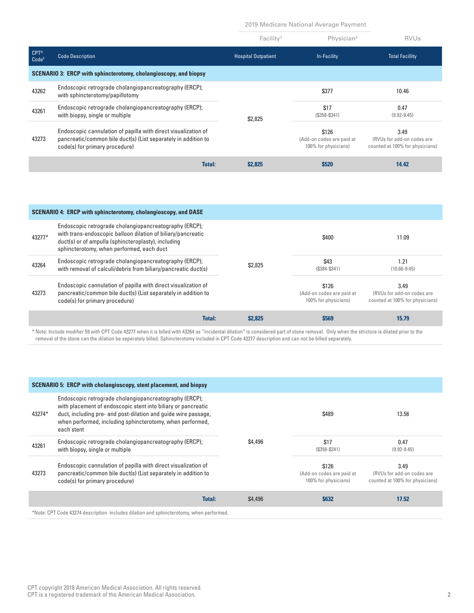2019 Medicare National Average Payment

|                                  |                                                                                                                                                                               | Facility <sup>2</sup>      | Physician <sup>3</sup>                                     | <b>RVUs</b>                                                           |
|----------------------------------|-------------------------------------------------------------------------------------------------------------------------------------------------------------------------------|----------------------------|------------------------------------------------------------|-----------------------------------------------------------------------|
| <b>CPT®</b><br>Code <sup>5</sup> | <b>Code Description</b>                                                                                                                                                       | <b>Hospital Outpatient</b> | In-Facility                                                | <b>Total Facillity</b>                                                |
|                                  | <b>SCENARIO 3: ERCP with sphincterotomy, cholangioscopy, and biopsy</b>                                                                                                       |                            |                                                            |                                                                       |
| 43262                            | Endoscopic retrograde cholangiopancreatography (ERCP);<br>with sphincterotomy/papillotomy                                                                                     |                            | \$377                                                      | 10.46                                                                 |
| 43261                            | Endoscopic retrograde cholangiopancreatography (ERCP);<br>with biopsy, single or multiple                                                                                     | \$2,825                    | \$17<br>$(S358 - S341)$                                    | 0.47<br>$(9.92 - 9.45)$                                               |
| 43273                            | Endoscopic cannulation of papilla with direct visualization of<br>pancreatic/common bile duct(s) (List separately in addition to<br>code(s) for primary procedure)            |                            | \$126<br>(Add-on codes are paid at<br>100% for physicians) | 3.49<br>(RVUs for add-on codes are<br>counted at 100% for physicians) |
|                                  | <b>Total:</b>                                                                                                                                                                 | \$2,825                    | <b>\$520</b>                                               | 14.42                                                                 |
|                                  |                                                                                                                                                                               |                            |                                                            |                                                                       |
|                                  | <b>SCENARIO 4: ERCP with sphincterotomy, cholangioscopy, and DASE</b>                                                                                                         |                            |                                                            |                                                                       |
| 43277*                           | Endoscopic retrograde cholangiopancreatography (ERCP);<br>with trans-endoscopic balloon dilation of biliary/pancreatic<br>duct(s) or of ampulla (sphincteroplasty), including |                            | \$400                                                      | 11.09                                                                 |

|       | sphincterotomy, when performed, each duct                                                                                                                          |        |         |                                                            |                                                                       |
|-------|--------------------------------------------------------------------------------------------------------------------------------------------------------------------|--------|---------|------------------------------------------------------------|-----------------------------------------------------------------------|
| 43264 | Endoscopic retrograde cholangiopancreatography (ERCP);<br>with removal of calculi/debris from biliary/pancreatic duct(s)                                           |        | \$2,825 | \$43<br>$(S384-S341)$                                      | 1.21<br>$(10.66 - 9.45)$                                              |
| 43273 | Endoscopic cannulation of papilla with direct visualization of<br>pancreatic/common bile duct(s) (List separately in addition to<br>code(s) for primary procedure) |        |         | \$126<br>(Add-on codes are paid at<br>100% for physicians) | 3.49<br>(RVUs for add-on codes are<br>counted at 100% for physicians) |
|       |                                                                                                                                                                    | Total: | \$2,825 | \$569                                                      | 15.79                                                                 |

\* Note: Include modifier 59 with CPT Code 43277 when it is billed with 43264 as "incidental dilation" is considered part of stone removal. Only when the stricture is dilated prior to the removal of the stone can the dilation be seperately billed. Sphincterotomy included in CPT Code 43277 description and can not be billed separately.

| <b>SCENARIO 5: ERCP with cholangioscopy, stent placement, and biopsy</b> |                                                                                                                                                                                                                                                                      |                          |                                                            |                                                                       |  |
|--------------------------------------------------------------------------|----------------------------------------------------------------------------------------------------------------------------------------------------------------------------------------------------------------------------------------------------------------------|--------------------------|------------------------------------------------------------|-----------------------------------------------------------------------|--|
| 43274*                                                                   | Endoscopic retrograde cholangiopancreatography (ERCP);<br>with placement of endoscopic stent into biliary or pancreatic<br>duct, including pre- and post-dilation and quide wire passage,<br>when performed, including sphincterotomy, when performed,<br>each stent |                          | \$489                                                      | 13.56                                                                 |  |
| 43261                                                                    | Endoscopic retrograde cholangiopancreatography (ERCP);<br>with biopsy, single or multiple                                                                                                                                                                            | \$4,496                  | \$17<br>$($358-S341)$                                      | 0.47<br>$(9.92 - 9.45)$                                               |  |
| 43273                                                                    | Endoscopic cannulation of papilla with direct visualization of<br>pancreatic/common bile duct(s) (List separately in addition to<br>code(s) for primary procedure)                                                                                                   |                          | \$126<br>(Add-on codes are paid at<br>100% for physicians) | 3.49<br>(RVUs for add-on codes are<br>counted at 100% for physicians) |  |
|                                                                          |                                                                                                                                                                                                                                                                      | <b>Total:</b><br>\$4,496 | \$632                                                      | 17.52                                                                 |  |
|                                                                          | *Note: CPT Code 43274 description includes dilation and sphincterotomy, when performed.                                                                                                                                                                              |                          |                                                            |                                                                       |  |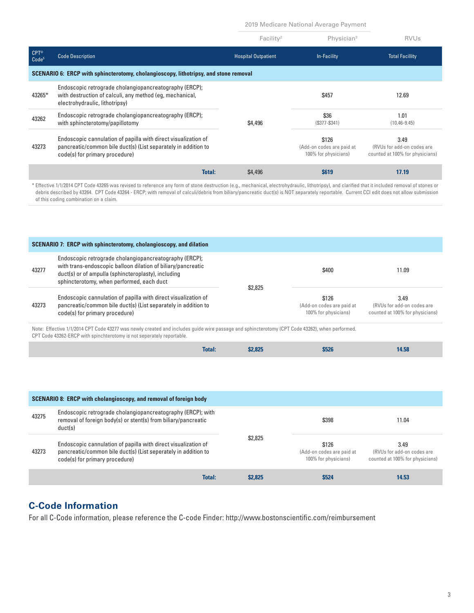2019 Medicare National Average Payment

|                                        |                                                                                                                                                                    | Facility <sup>2</sup>      | Physician <sup>3</sup>                                     | <b>RVUs</b>                                                           |
|----------------------------------------|--------------------------------------------------------------------------------------------------------------------------------------------------------------------|----------------------------|------------------------------------------------------------|-----------------------------------------------------------------------|
| $CPT^{\circledR}$<br>Code <sup>5</sup> | <b>Code Description</b>                                                                                                                                            | <b>Hospital Outpatient</b> | <b>In-Facility</b>                                         | <b>Total Facillity</b>                                                |
|                                        | SCENARIO 6: ERCP with sphincterotomy, cholangioscopy, lithotripsy, and stone removal                                                                               |                            |                                                            |                                                                       |
| 43265*                                 | Endoscopic retrograde cholangiopancreatography (ERCP);<br>with destruction of calculi, any method (eq. mechanical,<br>electrohydraulic, lithotripsy)               |                            | \$457                                                      | 12.69                                                                 |
| 43262                                  | Endoscopic retrograde cholangiopancreatography (ERCP);<br>with sphincterotomy/papillotomy                                                                          | \$4,496                    | \$36<br>$(S377 - S341)$                                    | 1.01<br>$(10.46 - 9.45)$                                              |
| 43273                                  | Endoscopic cannulation of papilla with direct visualization of<br>pancreatic/common bile duct(s) (List separately in addition to<br>code(s) for primary procedure) |                            | \$126<br>(Add-on codes are paid at<br>100% for physicians) | 3.49<br>(RVUs for add-on codes are<br>counted at 100% for physicians) |
|                                        | <b>Total:</b>                                                                                                                                                      | \$4,496                    | <b>S619</b>                                                | 17.19                                                                 |

\* Effective 1/1/2014 CPT Code 43265 was revised to reference any form of stone destruction (e.g., mechanical, electrohydraulic, lithotripsy), and clarified that it included removal of stones or debris described by 43264. CPT Code 43264 - ERCP; with removal of calculi/debris from biliary/pancreatic duct(s) is NOT separately reportable. Current CCI edit does not allow submission of this coding combination on a claim.

|       | <b>SCENARIO 7: ERCP with sphincterotomy, cholangioscopy, and dilation</b>                                                                                                                                                  |         |                                                            |                                                                       |
|-------|----------------------------------------------------------------------------------------------------------------------------------------------------------------------------------------------------------------------------|---------|------------------------------------------------------------|-----------------------------------------------------------------------|
| 43277 | Endoscopic retrograde cholangiopancreatography (ERCP);<br>with trans-endoscopic balloon dilation of biliary/pancreatic<br>duct(s) or of ampulla (sphincteroplasty), including<br>sphincterotomy, when performed, each duct | \$2,825 | \$400                                                      | 11.09                                                                 |
| 43273 | Endoscopic cannulation of papilla with direct visualization of<br>pancreatic/common bile duct(s) (List separately in addition to<br>code(s) for primary procedure)                                                         |         | \$126<br>(Add-on codes are paid at<br>100% for physicians) | 3.49<br>(RVUs for add-on codes are<br>counted at 100% for physicians) |

Note: Effective 1/1/2014 CPT Code 43277 was newly created and includes guide wire passage and sphincterotomy (CPT Code 43262), when performed. CPT Code 43262-ERCP with spinchterotomy is not seperately reportable.

| <b>Total:</b> | \$2,825 | \$526 | 14.58 |
|---------------|---------|-------|-------|

| <b>SCENARIO 8: ERCP with cholangioscopy, and removal of foreign body</b> |                                                                                                                                                                    |         |                                                            |                                                                       |  |
|--------------------------------------------------------------------------|--------------------------------------------------------------------------------------------------------------------------------------------------------------------|---------|------------------------------------------------------------|-----------------------------------------------------------------------|--|
| 43275                                                                    | Endoscopic retrograde cholangiopancreatography (ERCP); with<br>removal of foreign body(s) or stent(s) from biliary/pancreatic<br>duct(s)                           |         | \$398                                                      | 11.04                                                                 |  |
| 43273                                                                    | Endoscopic cannulation of papilla with direct visualization of<br>pancreatic/common bile duct(s) (List seperately in addition to<br>code(s) for primary procedure) | \$2,825 | \$126<br>(Add-on codes are paid at<br>100% for physicians) | 3.49<br>(RVUs for add-on codes are<br>counted at 100% for physicians) |  |
|                                                                          | <b>Total:</b>                                                                                                                                                      | \$2.825 | <b>\$524</b>                                               | 14.53                                                                 |  |

### **C-Code Information**

For all C-Code information, please reference the C-code Find[er: http://www.bostonscientific.com/reimbursement](http://www.bostonscientific.com/reimbursement)